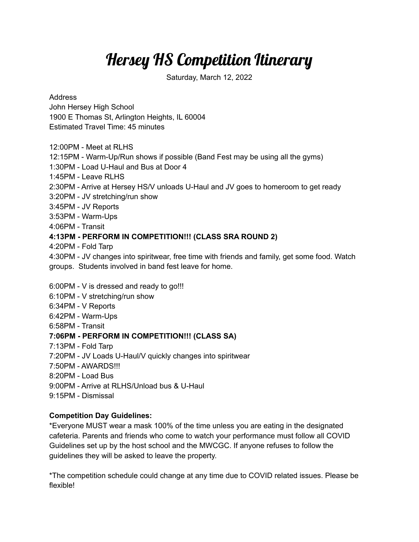## Hersey HS Competition Itinerary

Saturday, March 12, 2022

Address

John Hersey High School 1900 E Thomas St, Arlington Heights, IL 60004 Estimated Travel Time: 45 minutes

12:00PM - Meet at RLHS

12:15PM - Warm-Up/Run shows if possible (Band Fest may be using all the gyms)

1:30PM - Load U-Haul and Bus at Door 4

1:45PM - Leave RLHS

2:30PM - Arrive at Hersey HS/V unloads U-Haul and JV goes to homeroom to get ready

3:20PM - JV stretching/run show

3:45PM - JV Reports

3:53PM - Warm-Ups

4:06PM - Transit

## **4:13PM - PERFORM IN COMPETITION!!! (CLASS SRA ROUND 2)**

4:20PM - Fold Tarp

4:30PM - JV changes into spiritwear, free time with friends and family, get some food. Watch groups. Students involved in band fest leave for home.

6:00PM - V is dressed and ready to go!!!

- 6:10PM V stretching/run show
- 6:34PM V Reports
- 6:42PM Warm-Ups
- 6:58PM Transit

## **7:06PM - PERFORM IN COMPETITION!!! (CLASS SA)**

- 7:13PM Fold Tarp
- 7:20PM JV Loads U-Haul/V quickly changes into spiritwear
- 7:50PM AWARDS!!!
- 8:20PM Load Bus
- 9:00PM Arrive at RLHS/Unload bus & U-Haul
- 9:15PM Dismissal

## **Competition Day Guidelines:**

\*Everyone MUST wear a mask 100% of the time unless you are eating in the designated cafeteria. Parents and friends who come to watch your performance must follow all COVID Guidelines set up by the host school and the MWCGC. If anyone refuses to follow the guidelines they will be asked to leave the property.

\*The competition schedule could change at any time due to COVID related issues. Please be flexible!